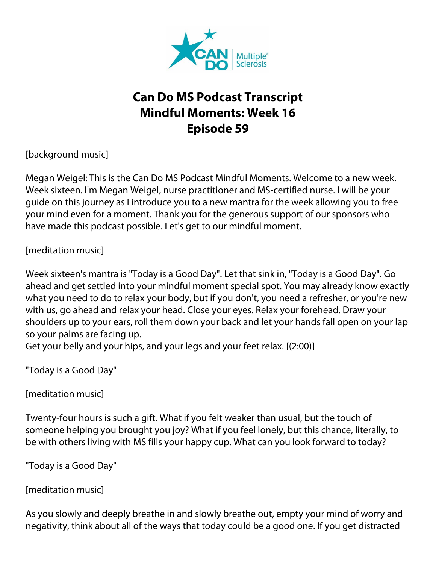

## **Can Do MS Podcast Transcript Mindful Moments: Week 16 Episode 59**

[background music]

Megan Weigel: This is the Can Do MS Podcast Mindful Moments. Welcome to a new week. Week sixteen. I'm Megan Weigel, nurse practitioner and MS-certified nurse. I will be your guide on this journey as I introduce you to a new mantra for the week allowing you to free your mind even for a moment. Thank you for the generous support of our sponsors who have made this podcast possible. Let's get to our mindful moment.

[meditation music]

Week sixteen's mantra is "Today is a Good Day". Let that sink in, "Today is a Good Day". Go ahead and get settled into your mindful moment special spot. You may already know exactly what you need to do to relax your body, but if you don't, you need a refresher, or you're new with us, go ahead and relax your head. Close your eyes. Relax your forehead. Draw your shoulders up to your ears, roll them down your back and let your hands fall open on your lap so your palms are facing up.

Get your belly and your hips, and your legs and your feet relax. [(2:00)]

"Today is a Good Day"

[meditation music]

Twenty-four hours is such a gift. What if you felt weaker than usual, but the touch of someone helping you brought you joy? What if you feel lonely, but this chance, literally, to be with others living with MS fills your happy cup. What can you look forward to today?

"Today is a Good Day"

[meditation music]

As you slowly and deeply breathe in and slowly breathe out, empty your mind of worry and negativity, think about all of the ways that today could be a good one. If you get distracted